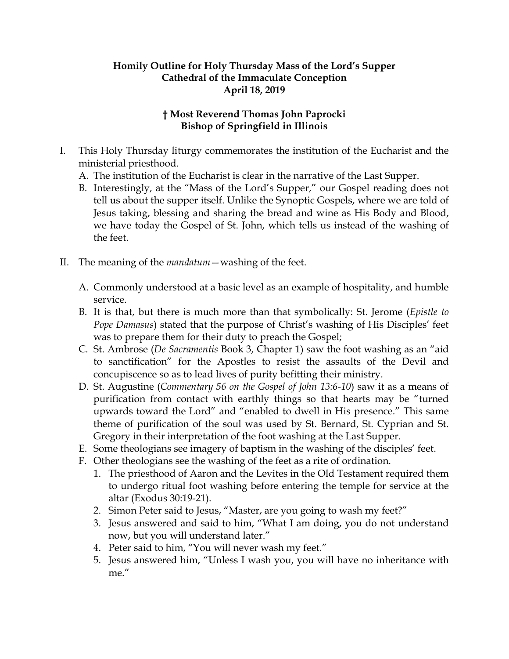## **Homily Outline for Holy Thursday Mass of the Lord's Supper Cathedral of the Immaculate Conception April 18, 2019**

## **† Most Reverend Thomas John Paprocki Bishop of Springfield in Illinois**

- I. This Holy Thursday liturgy commemorates the institution of the Eucharist and the ministerial priesthood.
	- A. The institution of the Eucharist is clear in the narrative of the Last Supper.
	- B. Interestingly, at the "Mass of the Lord's Supper," our Gospel reading does not tell us about the supper itself. Unlike the Synoptic Gospels, where we are told of Jesus taking, blessing and sharing the bread and wine as His Body and Blood, we have today the Gospel of St. John, which tells us instead of the washing of the feet.
- II. The meaning of the *mandatum*—washing of the feet.
	- A. Commonly understood at a basic level as an example of hospitality, and humble service.
	- B. It is that, but there is much more than that symbolically: St. Jerome (*Epistle to Pope Damasus*) stated that the purpose of Christ's washing of His Disciples' feet was to prepare them for their duty to preach the Gospel;
	- C. St. Ambrose (*De Sacramentis* Book 3, Chapter 1) saw the foot washing as an "aid to sanctification" for the Apostles to resist the assaults of the Devil and concupiscence so as to lead lives of purity befitting their ministry.
	- D. St. Augustine (*Commentary 56 on the Gospel of John 13:6-10*) saw it as a means of purification from contact with earthly things so that hearts may be "turned upwards toward the Lord" and "enabled to dwell in His presence." This same theme of purification of the soul was used by St. Bernard, St. Cyprian and St. Gregory in their interpretation of the foot washing at the Last Supper.
	- E. Some theologians see imagery of baptism in the washing of the disciples' feet.
	- F. Other theologians see the washing of the feet as a rite of ordination.
		- 1. The priesthood of Aaron and the Levites in the Old Testament required them to undergo ritual foot washing before entering the temple for service at the altar (Exodus 30:19-21).
		- 2. Simon Peter said to Jesus, "Master, are you going to wash my feet?"
		- 3. Jesus answered and said to him, "What I am doing, you do not understand now, but you will understand later."
		- 4. Peter said to him, "You will never wash my feet."
		- 5. Jesus answered him, "Unless I wash you, you will have no inheritance with me."